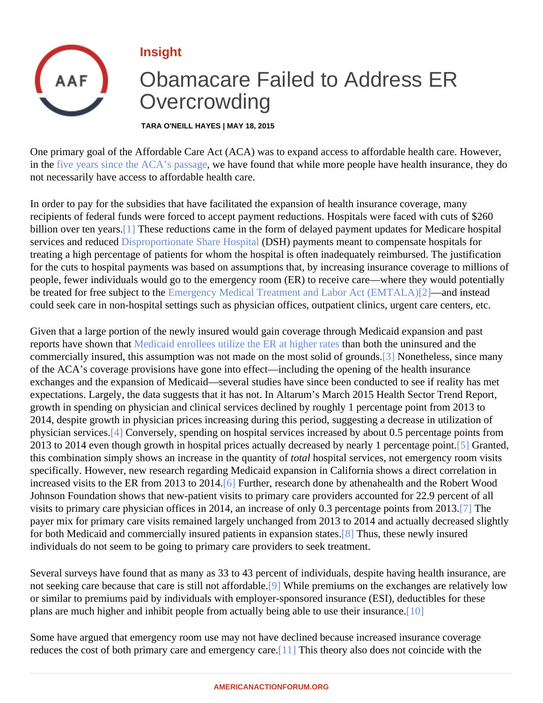## <span id="page-0-0"></span>Insight

## Obamacare Failed to Address ER **Overcrowding**

TARA O'NEILL HAYES | MAY 18, 2015

One primary goal of the Affordable Care Act (ACA) was to expand access to affordable health care. However, in the [five years since the ACA's passa](�� h t t p : / / a m e r i c a n a c t i o n f o r u m . o r g / r e s e a r c h / f i v e - y e a r s - a f t e r - p a s s a g e - t h e - a c a - b y - t h e - n u m b e r s)ge have found that while more people have health insurance, they do not necessarily have access to affordable health care.

In order to pay for the subsidies that have facilitated the expansion of health insurance coverage, many recipients of federal funds were forced to accept payment reductions. Hospitals were faced with cuts of \$260 billion over ten years!] These reductions came in the form of delayed payment updates for Medicare hospital services and reduced sproportionate Share Hospit (DSH) payments meant to compensate hospitals for treating a high percentage of patients for whom the hospital is often inadequately reimbursed. The justification for the cuts to hospital payments was based on assumptions that, by increasing insurance coverage to million people, fewer individuals would go to the emergency room (ER) to receive care—where they would potentially be treated for free subject to the ergency Medical Treatment and Labor Act (EMTA[24})—and instead could seek care in non-hospital settings such as physician offices, outpatient clinics, urgent care centers, etc.

Given that a large portion of the newly insured would gain coverage through Medicaid expansion and past reportshave shown thatedicaid enrollees utilize the ER at higher rate than both the uninsured and the commercially insured, this assumption was not made on the most solid of grounds at heless, since many of the ACA's coverage provisions have gone into effect—including the opening of the health insurance exchanges and the expansion of Medicaid—several studies have since been conducted to see if reality has n expectations. Largely, the data suggests that it has not. In Altarum's March 2015 Health Sector Trend Report growth in spending on physician and clinical services declined by roughly 1 percentage point from 2013 to 2014, despite growth in physician prices increasing during this period, suggesting a decrease in utilization of physician services. Conversely, spending on hospital services increased by about 0.5 percentage points from 2013 to 2014 even though growth in hospital prices actually decreased by nearly 1 percentage Corainted, this combination simply shows an increase in the quantity tal hospital services, not emergency room visits specifically. However, new research regarding Medicaid expansion in California shows a direct correlation in increased visits to the ER from 2013 to 2014 Further, research done by athenahealth and the Robert Wood Johnson Foundation shows that new-patient visits to primary care providers accounted for 22.9 percent of all visits to primary care physician offices in 2014, an increase of only 0.3 percentage points from 2018. payer mix for primary care visits remained largely unchanged from 2013 to 2014 and actually decreased slightly for both Medicaid and commercially insured patients in expansion statesus, these newly insured individuals do not seem to be going to primary care providers to seek treatment.

Several surveys have found that as many as 33 to 43 percent of individuals, despite having health insurance, not seeking care because that care is still not affordable hile premiums on the exchanges are relatively low or similar to premiums paid by individuals with employer-sponsored insurance (ESI), deductibles for these plans are much higher and inhibit people from actually being able to use their insufance.

Some have argued that emergency room use may not have declined because increased insurance coverage reduces the cost of both primary care and emergency Idarehis theory also does not coincide with the